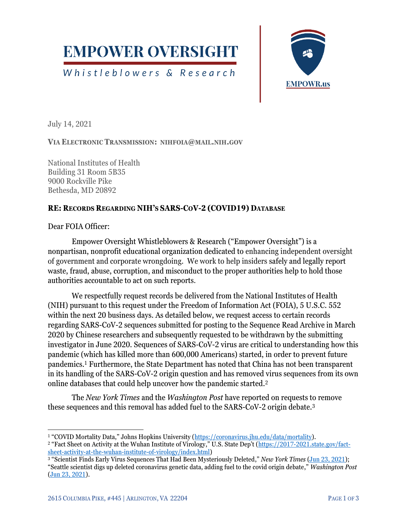

Whistleblowers & Research



July 14, 2021

**VIA ELECTRONIC TRANSMISSION: NIHFOIA@MAIL.NIH.GOV**

National Institutes of Health Building 31 Room 5B35 9000 Rockville Pike Bethesda, MD 20892

## **RE: RECORDS REGARDING NIH'S SARS-COV-2 (COVID19) DATABASE**

Dear FOIA Officer:

Empower Oversight Whistleblowers & Research ("Empower Oversight") is a nonpartisan, nonprofit educational organization dedicated to enhancing independent oversight of government and corporate wrongdoing. We work to help insiders safely and legally report waste, fraud, abuse, corruption, and misconduct to the proper authorities help to hold those authorities accountable to act on such reports.

We respectfully request records be delivered from the National Institutes of Health (NIH) pursuant to this request under the Freedom of Information Act (FOIA), 5 U.S.C. 552 within the next 20 business days. As detailed below, we request access to certain records regarding SARS-CoV-2 sequences submitted for posting to the Sequence Read Archive in March 2020 by Chinese researchers and subsequently requested to be withdrawn by the submitting investigator in June 2020. Sequences of SARS-CoV-2 virus are critical to understanding how this pandemic (which has killed more than 600,000 Americans) started, in order to prevent future pandemics.<sup>1</sup> Furthermore, the State Department has noted that China has not been transparent in its handling of the SARS-CoV-2 origin question and has removed virus sequences from its own online databases that could help uncover how the pandemic started.<sup>2</sup>

The *New York Times* and the *Washington Post* have reported on requests to remove these sequences and this removal has added fuel to the SARS-CoV-2 origin debate.<sup>3</sup>

<sup>&</sup>lt;sup>1</sup> "COVID Mortality Data," Johns Hopkins University ([https://coronavirus.jhu.edu/data/mortality\)](https://coronavirus.jhu.edu/data/mortality).

<sup>&</sup>lt;sup>2</sup> "Fact Sheet on Activity at the Wuhan Institute of Virology," U.S. State Dep't ([https://2017-2021.state.gov/fact](https://2017-2021.state.gov/fact-sheet-activity-at-the-wuhan-institute-of-virology/index.html)[sheet-activity-at-the-wuhan-institute-of-virology/index.html\)](https://2017-2021.state.gov/fact-sheet-activity-at-the-wuhan-institute-of-virology/index.html)

<sup>3</sup> "Scientist Finds Early Virus Sequences That Had Been Mysteriously Deleted," *New York Times* [\(Jun 23, 2021\)](https://www.nytimes.com/2021/06/23/science/coronavirus-sequences.html); "Seattle scientist digs up deleted coronavirus genetic data, adding fuel to the covid origin debate," *Washington Post* [\(Jun 23, 2021\)](https://www.washingtonpost.com/health/coronavirus-origin-nih-gene-sequence-deletion/2021/06/23/186e87d0-d437-11eb-a53a-3b5450fdca7a_story.html).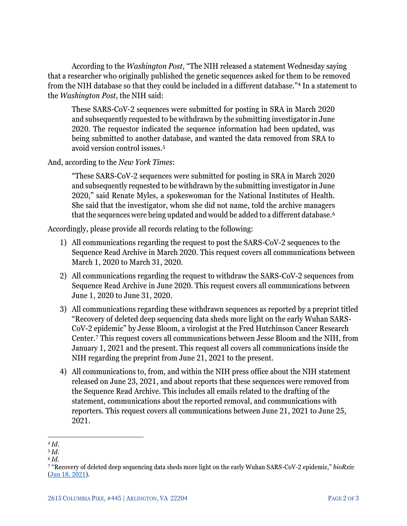According to the *Washington Post*, "The NIH released a statement Wednesday saying that a researcher who originally published the genetic sequences asked for them to be removed from the NIH database so that they could be included in a different database."<sup>4</sup> In a statement to the *Washington Post*, the NIH said:

These SARS-CoV-2 sequences were submitted for posting in SRA in March 2020 and subsequently requested to be withdrawn by the submitting investigator in June 2020. The requestor indicated the sequence information had been updated, was being submitted to another database, and wanted the data removed from SRA to avoid version control issues.<sup>5</sup>

And, according to the *New York Times*:

"These SARS-CoV-2 sequences were submitted for posting in SRA in March 2020 and subsequently requested to be withdrawn by the submitting investigator in June 2020," said Renate Myles, a spokeswoman for the National Institutes of Health. She said that the investigator, whom she did not name, told the archive managers that the sequences were being updated and would be added to a different database.<sup>6</sup>

Accordingly, please provide all records relating to the following:

- 1) All communications regarding the request to post the SARS-CoV-2 sequences to the Sequence Read Archive in March 2020. This request covers all communications between March 1, 2020 to March 31, 2020.
- 2) All communications regarding the request to withdraw the SARS-CoV-2 sequences from Sequence Read Archive in June 2020. This request covers all communications between June 1, 2020 to June 31, 2020.
- 3) All communications regarding these withdrawn sequences as reported by a preprint titled "Recovery of deleted deep sequencing data sheds more light on the early Wuhan SARS-CoV-2 epidemic" by Jesse Bloom, a virologist at the Fred Hutchinson Cancer Research Center.<sup>7</sup> This request covers all communications between Jesse Bloom and the NIH, from January 1, 2021 and the present. This request all covers all communications inside the NIH regarding the preprint from June 21, 2021 to the present.
- 4) All communications to, from, and within the NIH press office about the NIH statement released on June 23, 2021, and about reports that these sequences were removed from the Sequence Read Archive. This includes all emails related to the drafting of the statement, communications about the reported removal, and communications with reporters. This request covers all communications between June 21, 2021 to June 25, 2021.

<sup>4</sup> *Id.*

<sup>5</sup> *Id*.

<sup>6</sup> *Id*.

<sup>7</sup> "Recovery of deleted deep sequencing data sheds more light on the early Wuhan SARS-CoV-2 epidemic," *bioRxiv* [\(Jun 18, 2021\)](https://www.biorxiv.org/content/10.1101/2021.06.18.449051v1).